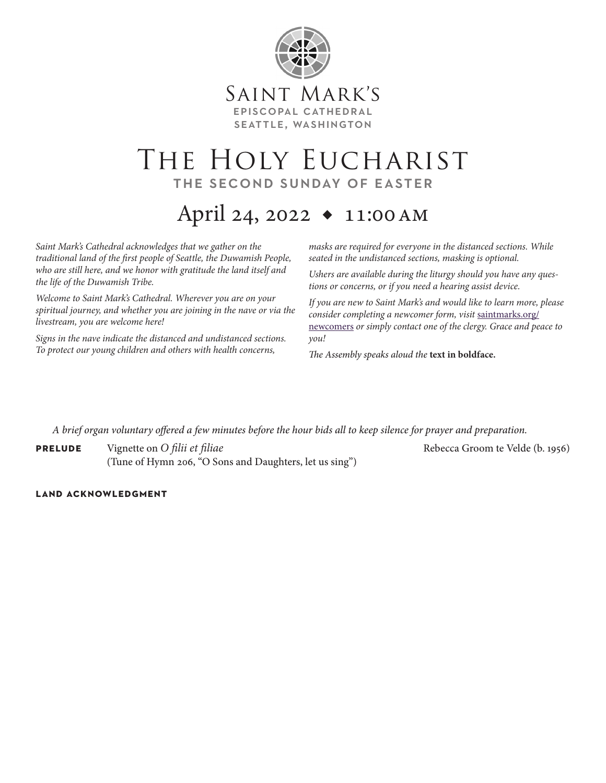

## THE HOLY EUCHARIST the second sunday of easter

# April 24, 2022 ◆ 11:00am

*Saint Mark's Cathedral acknowledges that we gather on the traditional land of the first people of Seattle, the Duwamish People, who are still here, and we honor with gratitude the land itself and the life of the Duwamish Tribe.* 

*Welcome to Saint Mark's Cathedral. Wherever you are on your spiritual journey, and whether you are joining in the nave or via the livestream, you are welcome here!*

*Signs in the nave indicate the distanced and undistanced sections. To protect our young children and others with health concerns,* 

*masks are required for everyone in the distanced sections. While seated in the undistanced sections, masking is optional.*

*Ushers are available during the liturgy should you have any questions or concerns, or if you need a hearing assist device.*

*If you are new to Saint Mark's and would like to learn more, please consider completing a newcomer form, visit* saintmarks.org/ newcomers *or simply contact one of the clergy. Grace and peace to you!*

*The Assembly speaks aloud the* **text in boldface.**

*A brief organ voluntary offered a few minutes before the hour bids all to keep silence for prayer and preparation.*

**PRELUDE** Vignette on *O filii et filiae* Rebecca Groom te Velde (b. 1956) (Tune of Hymn 206, "O Sons and Daughters, let us sing")

### **land acknowledgment**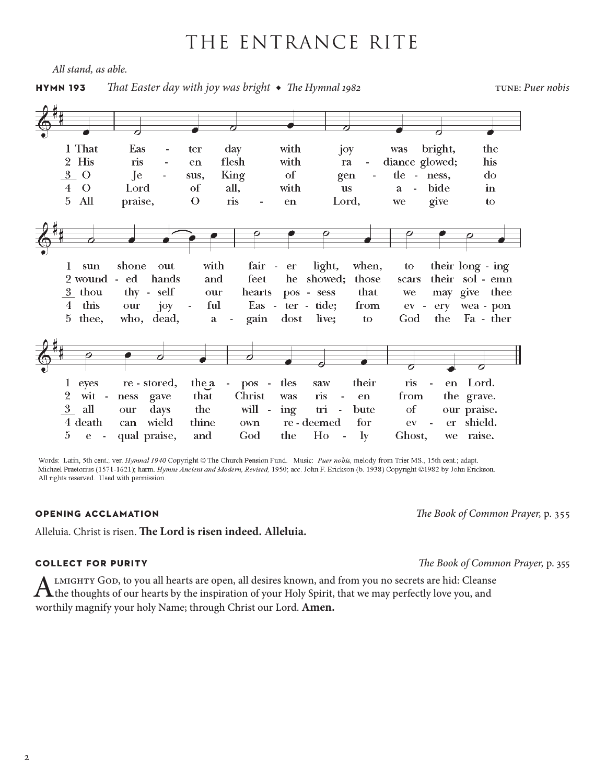## THE ENTRANCE RITE

*All stand, as able.*

### **hymn 193** That Easter day with joy was bright ◆ The Hymnal 1982 tune: *Puer nobis*

1 That Eas day with bright, the ter joy was 2 His ris with diance glowed;  $\frac{1}{2}$ en flesh ra his  $3\quad$ O Je of tle do sus, King gen  $\equiv$ ness,  $\Omega$ Lord of all. with bide  $\overline{4}$ **us** a J.  $\mathbf{in}$  $5$  All  $\overline{O}$ ris praise, Lord, we give to en shone out with fair light, when, their long - ing  $\bf{l}$ sun  $\overline{a}$ er to 2 wound - ed hands feet showed: their sol - emn and he those scars thy - self 3 thou our hearts pos - sess that we may give thee 4 this ful tide; our joy Eas ter  $\mathcal{L}_{\mathcal{A}}$  ${\rm from}$  $ev$ ery wea - pon  $\overline{\phantom{a}}$ 5 thee. who, dead, gain dost live: to  $\rm God$ the Fa - ther a Lord. 1 eyes re - stored, the a  $\sim$ tles their  $pos$ saw ris en  $\sim$  $\overline{2}$ that the grave. wit  $\mathbb{L}$ ness gave Christ was ris en from  $3<sup>1</sup>$ the all days will ing bute  $\sigma f$ our praise. our tri  $\sim$  $\sim$ 4 death can wield thine own re - deemed  $_{\rm for}$  $ev$ er shield. 5 qual praise, and God Ho  $\mathbf{1}\mathbf{y}$ raise.  $\rm e$ the Ghost, we

Words: Latin, 5th cent.; ver. Hymnal 1940 Copyright © The Church Pension Fund. Music: Puer nobis, melody from Trier MS., 15th cent.; adapt. Michael Praetorius (1571-1621); harm. Hymns Ancient and Modern, Revised, 1950; acc. John F. Erickson (b. 1938) Copyright @1982 by John Erickson. All rights reserved. Used with permission.

### **opening acclamation** *The Book of Common Prayer,* p. 355

Alleluia. Christ is risen. **The Lord is risen indeed. Alleluia.**

### **collect for purity** *The Book of Common Prayer,* p. 355

ALMIGHTY GOD, to you all hearts are open, all desires known, and from you no secrets are hid: Cleanse<br>the thoughts of our hearts by the inspiration of your Holy Spirit, that we may perfectly love you, and worthily magnify your holy Name; through Christ our Lord. **Amen.**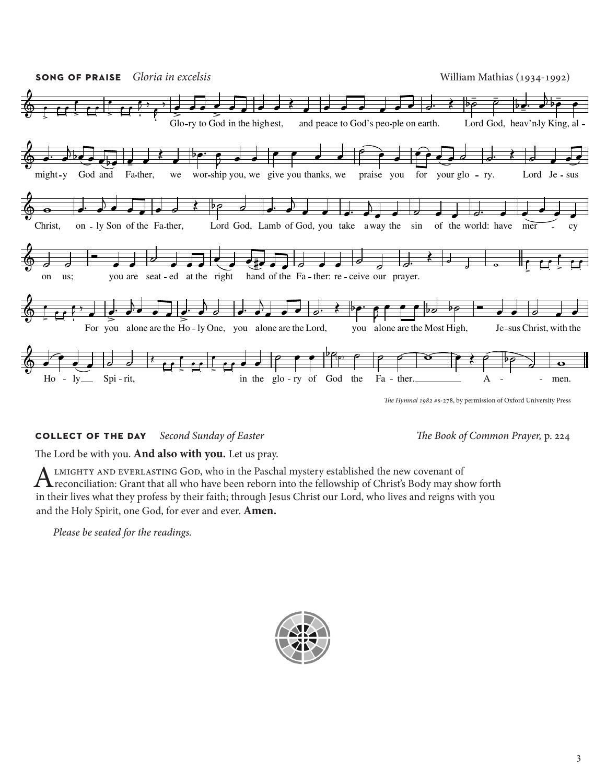

### **collect of the day** *Second Sunday of Easter The Book of Common Prayer,* p. 224

The Lord be with you. **And also with you.** Let us pray.

ALMIGHTY AND EVERLASTING GOD, who in the Paschal mystery established the new covenant of<br>reconciliation: Grant that all who have been reborn into the fellowship of Christ's Body may show forth in their lives what they profess by their faith; through Jesus Christ our Lord, who lives and reigns with you and the Holy Spirit, one God, for ever and ever. **Amen.**

*Please be seated for the readings.*

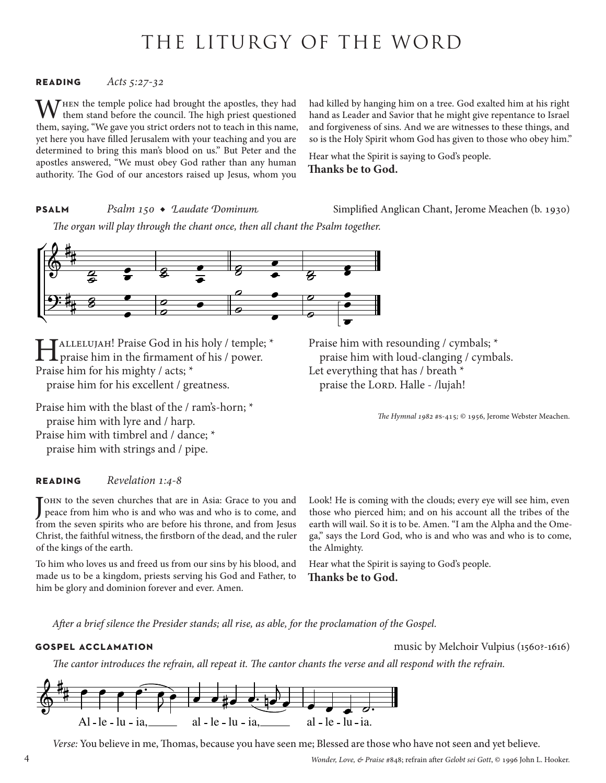## THE LITURGY OF THE WORD

### **reading** *Acts 5:27-32*

WHEN the temple police had brought the apostles, they had them stand before the council. The high priest questioned them, saying, "We gave you strict orders not to teach in this name, yet here you have filled Jerusalem with your teaching and you are determined to bring this man's blood on us." But Peter and the apostles answered, "We must obey God rather than any human authority. The God of our ancestors raised up Jesus, whom you

had killed by hanging him on a tree. God exalted him at his right hand as Leader and Savior that he might give repentance to Israel and forgiveness of sins. And we are witnesses to these things, and so is the Holy Spirit whom God has given to those who obey him."

Hear what the Spirit is saying to God's people. **Thanks be to God.**

**PSALM** *Psalm 150 ◆ Laudate Dominum* Simplified Anglican Chant, Jerome Meachen (b. 1930)

*The organ will play through the chant once, then all chant the Psalm together.*



HALLELUJAH! Praise God in his holy / temple; \*<br>praise him in the firmament of his / power. Praise him for his mighty / acts; \* praise him for his excellent / greatness.

Praise him with the blast of the / ram's-horn; \* praise him with lyre and / harp. Praise him with timbrel and / dance; \* praise him with strings and / pipe.

### **reading** *Revelation 1:4-8*

J peace from him who is and who was and who is to come, and ohn to the seven churches that are in Asia: Grace to you and from the seven spirits who are before his throne, and from Jesus Christ, the faithful witness, the firstborn of the dead, and the ruler of the kings of the earth.

To him who loves us and freed us from our sins by his blood, and made us to be a kingdom, priests serving his God and Father, to him be glory and dominion forever and ever. Amen.

Praise him with resounding / cymbals; \* praise him with loud-clanging / cymbals. Let everything that has / breath \* praise the LORD. Halle - /lujah!

*The Hymnal 1982* #s-415*;* © 1956, Jerome Webster Meachen.

Look! He is coming with the clouds; every eye will see him, even those who pierced him; and on his account all the tribes of the earth will wail. So it is to be. Amen. "I am the Alpha and the Omega," says the Lord God, who is and who was and who is to come, the Almighty.

Hear what the Spirit is saying to God's people. **Thanks be to God.**

*After a brief silence the Presider stands; all rise, as able, for the proclamation of the Gospel.*

**gospel acclamation** music by Melchoir Vulpius (1560?-1616)

*The cantor introduces the refrain, all repeat it. The cantor chants the verse and all respond with the refrain.*



*Verse:* You believe in me, Thomas, because you have seen me; Blessed are those who have not seen and yet believe.

*Wonder, Love, & Praise* #848; refrain after *Gelobt sei Gott*, © 1996 John L. Hooker.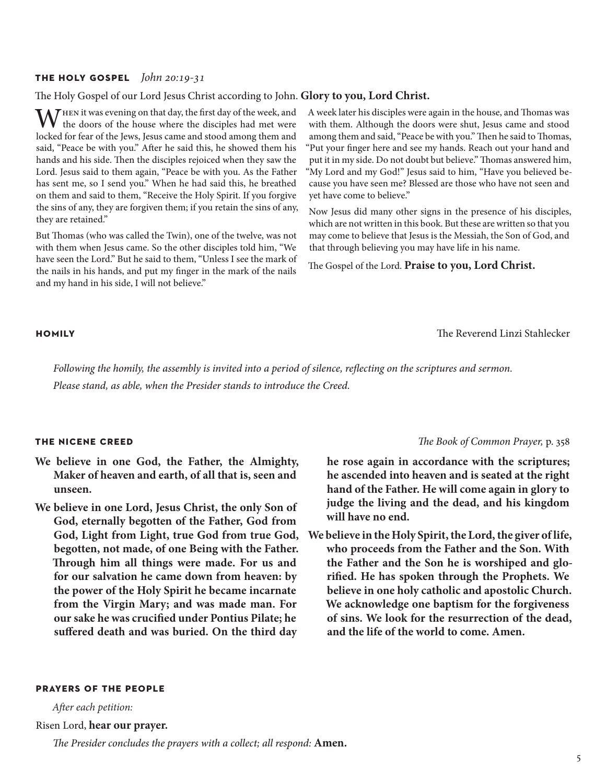### **the holy gospel** *John 20:19-31*

### The Holy Gospel of our Lord Jesus Christ according to John. **Glory to you, Lord Christ.**

WHEN it was evening on that day, the first day of the week, and the doors of the house where the disciples had met were locked for fear of the Jews, Jesus came and stood among them and said, "Peace be with you." After he said this, he showed them his hands and his side. Then the disciples rejoiced when they saw the Lord. Jesus said to them again, "Peace be with you. As the Father has sent me, so I send you." When he had said this, he breathed on them and said to them, "Receive the Holy Spirit. If you forgive the sins of any, they are forgiven them; if you retain the sins of any, they are retained."

But Thomas (who was called the Twin), one of the twelve, was not with them when Jesus came. So the other disciples told him, "We have seen the Lord." But he said to them, "Unless I see the mark of the nails in his hands, and put my finger in the mark of the nails and my hand in his side, I will not believe."

A week later his disciples were again in the house, and Thomas was with them. Although the doors were shut, Jesus came and stood among them and said, "Peace be with you." Then he said to Thomas, "Put your finger here and see my hands. Reach out your hand and put it in my side. Do not doubt but believe." Thomas answered him, "My Lord and my God!" Jesus said to him, "Have you believed because you have seen me? Blessed are those who have not seen and yet have come to believe."

Now Jesus did many other signs in the presence of his disciples, which are not written in this book. But these are written so that you may come to believe that Jesus is the Messiah, the Son of God, and that through believing you may have life in his name.

The Gospel of the Lord. **Praise to you, Lord Christ.**

**homily** The Reverend Linzi Stahlecker

*Following the homily, the assembly is invited into a period of silence, reflecting on the scriptures and sermon. Please stand, as able, when the Presider stands to introduce the Creed.*

- **We believe in one God, the Father, the Almighty, Maker of heaven and earth, of all that is, seen and unseen.**
- **We believe in one Lord, Jesus Christ, the only Son of God, eternally begotten of the Father, God from God, Light from Light, true God from true God, begotten, not made, of one Being with the Father. Through him all things were made. For us and for our salvation he came down from heaven: by the power of the Holy Spirit he became incarnate from the Virgin Mary; and was made man. For our sake he was crucified under Pontius Pilate; he suffered death and was buried. On the third day**

### **the nicene creed** *The Book of Common Prayer,* p. 358

**he rose again in accordance with the scriptures; he ascended into heaven and is seated at the right hand of the Father. He will come again in glory to judge the living and the dead, and his kingdom will have no end.**

**We believe in the Holy Spirit, the Lord, the giver of life, who proceeds from the Father and the Son. With the Father and the Son he is worshiped and glorified. He has spoken through the Prophets. We believe in one holy catholic and apostolic Church. We acknowledge one baptism for the forgiveness of sins. We look for the resurrection of the dead, and the life of the world to come. Amen.**

### **prayers of the people**

*After each petition:* Risen Lord, **hear our prayer.**

*The Presider concludes the prayers with a collect; all respond:* **Amen.**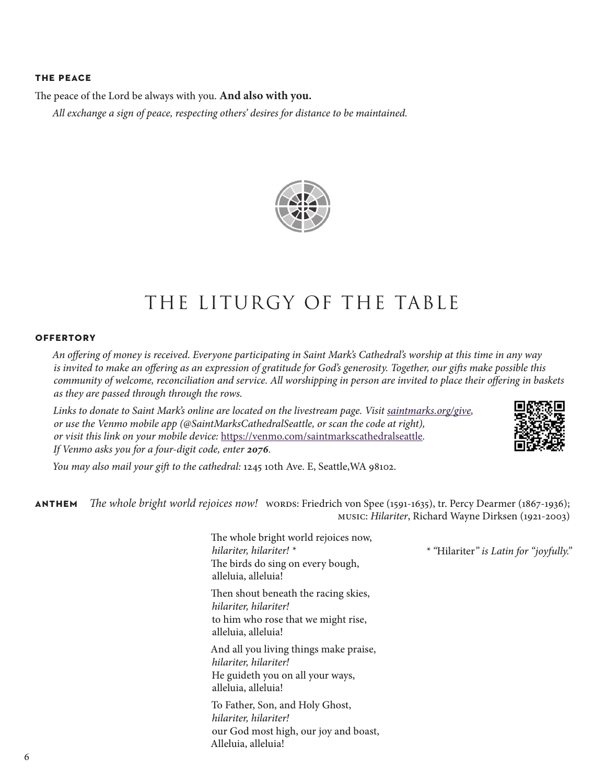### **the peace**

The peace of the Lord be always with you. **And also with you.**

*All exchange a sign of peace, respecting others' desires for distance to be maintained.* 



## THE LITURGY OF THE TABLE

### **offertory**

*An offering of money is received. Everyone participating in Saint Mark's Cathedral's worship at this time in any way is invited to make an offering as an expression of gratitude for God's generosity. Together, our gifts make possible this community of welcome, reconciliation and service. All worshipping in person are invited to place their offering in baskets as they are passed through through the rows.* 

*Links to donate to Saint Mark's online are located on the livestream page. Visit [saintmarks.org/give,](http://saintmarks.org/give) or use the Venmo mobile app (@SaintMarksCathedralSeattle, or scan the code at right), or visit this link on your mobile device:* <https://venmo.com/saintmarkscathedralseattle>*. If Venmo asks you for a four-digit code, enter 2076.*



*You may also mail your gift to the cathedral:* 1245 10th Ave. E, Seattle,WA 98102.

**anthem** *The whole bright world rejoices now!* words: Friedrich von Spee (1591-1635), tr. Percy Dearmer (1867-1936); music: *Hilariter*, Richard Wayne Dirksen (1921-2003)

> The whole bright world rejoices now, *hilariter, hilariter! \** The birds do sing on every bough, alleluia, alleluia! Then shout beneath the racing skies, *hilariter, hilariter!* to him who rose that we might rise, alleluia, alleluia! And all you living things make praise, *hilariter, hilariter!* He guideth you on all your ways, alleluia, alleluia! To Father, Son, and Holy Ghost, *hilariter, hilariter!* our God most high, our joy and boast, Alleluia, alleluia!

*\* "*Hilariter*" is Latin for "joyfully."*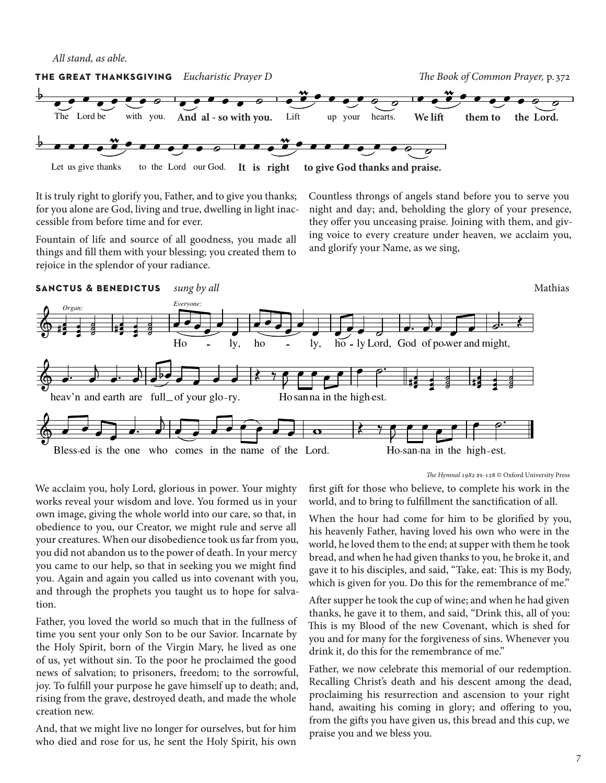.<br>All stand, as able.



It is truly right to glorify you, Father, and to give you thanks;<br>for vou alone are God, living and true, dwelling in light inac-It is truly right to glorify you, Father, and to give you thanks;<br>for you alone are God, living and true, dwelling in light inac-<br>cossible from hefter time and for your cessible from before time and for ever. is right us give thanks Let Lord God. our to It the …now

Fountain of life and source of all goodness, you made all things and fill them with your blessing; you created them to things and in them with your blessing.<br>rejoice in the splendor of your radiance.

Countless throngs of angels stand before you to serve you ks; Countless throngs of angels stand before you to serve you<br>ac- night and day; and, beholding the glory of your presence,<br>they offer you unecessing major. Joining with them, and give they offer you unceasing praise. Joining with them, and giving voice to every creature under heaven, we acclaim you, and glorify your Name, as we sing,



We acclaim you, holy Lord, glorious in power. Your mighty works reveal your wisdom and love. You formed us in your own image, giving the whole world into our care, so that, in obedience to you, our Creator, we might rule and serve all your creatures. When our disobedience took us far from you, you did not abandon us to the power of death. In your mercy you came to our help, so that in seeking you we might find you. Again and again you called us into covenant with you, and through the prophets you taught us to hope for salvation.

Father, you loved the world so much that in the fullness of time you sent your only Son to be our Savior. Incarnate by the Holy Spirit, born of the Virgin Mary, he lived as one of us, yet without sin. To the poor he proclaimed the good news of salvation; to prisoners, freedom; to the sorrowful, joy. To fulfill your purpose he gave himself up to death; and, rising from the grave, destroyed death, and made the whole creation new.

And, that we might live no longer for ourselves, but for him who died and rose for us, he sent the Holy Spirit, his own *The Hymnal 1982* #s-128 © Oxford University Press

first gift for those who believe, to complete his work in the world, and to bring to fulfillment the sanctification of all.

When the hour had come for him to be glorified by you, his heavenly Father, having loved his own who were in the world, he loved them to the end; at supper with them he took bread, and when he had given thanks to you, he broke it, and gave it to his disciples, and said, "Take, eat: This is my Body, which is given for you. Do this for the remembrance of me."

After supper he took the cup of wine; and when he had given thanks, he gave it to them, and said, "Drink this, all of you: This is my Blood of the new Covenant, which is shed for you and for many for the forgiveness of sins. Whenever you drink it, do this for the remembrance of me."

Father, we now celebrate this memorial of our redemption. Recalling Christ's death and his descent among the dead, proclaiming his resurrection and ascension to your right hand, awaiting his coming in glory; and offering to you, from the gifts you have given us, this bread and this cup, we praise you and we bless you.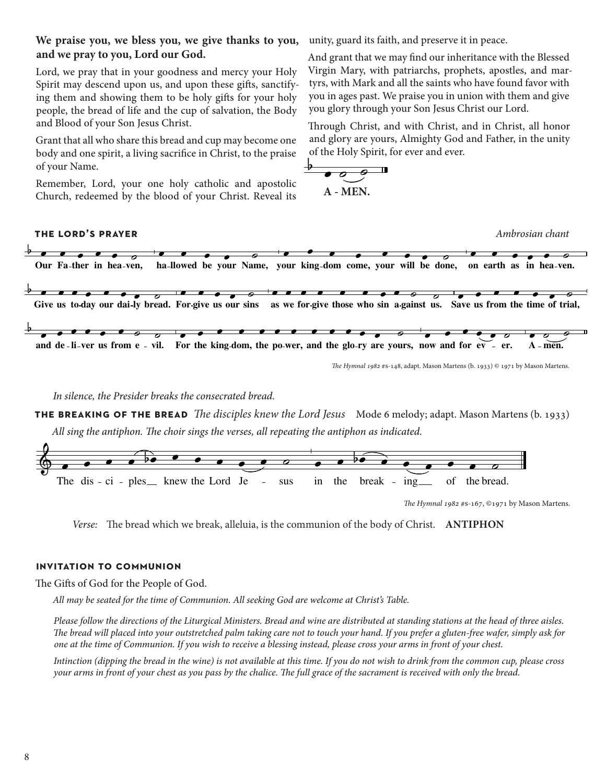### **We praise you, we bless you, we give thanks to you, and we pray to you, Lord our God.**

Lord, we pray that in your goodness and mercy your Holy Spirit may descend upon us, and upon these gifts, sanctifying them and showing them to be holy gifts for your holy people, the bread of life and the cup of salvation, the Body and Blood of your Son Jesus Christ.

Grant that all who share this bread and cup may become one body and one spirit, a living sacrifice in Christ, to the praise of your Name.

Remember, Lord, your one holy catholic and apostolic Church, redeemed by the blood of your Christ. Reveal its unity, guard its faith, and preserve it in peace.<br>And grant that we may find our inheritance will

unity, guard its faith, and preserve it in peace.<br>And grant that we may find our inheritance with the Blessed Virgin Mary, with patriarchs, prophets, apostles, and martyrs, with Mark and all the saints who have found favor with you in ages past. We praise you in union with them and give you in ages past. We praise you in union with them and give<br>you glory through your Son Jesus Christ our Lord. ve vertiliser

Through Christ, and with Christ, and in Christ, all honor and glory are yours, Almighty God and Father, in the unity of the Holy Spirit, for ever and ever.

$$
\begin{array}{c}\n\bullet \circ \bullet \\
\hline\n\circ \circ \bullet \\
\hline\n\end{array}
$$



*In silence, the Presider breaks the consecrated bread.*

**the breaking of the bread** *The disciples knew the Lord Jesus* Mode 6 melody; adapt. Mason Martens (b. 1933) *All sing the antiphon. The choir sings the verses, all repeating the antiphon as indicated.*



*The Hymnal 1982* #s-167, ©1971 by Mason Martens.

*Verse:* The bread which we break, alleluia, is the communion of the body of Christ. **ANTIPHON**

### **invitation to communion**

The Gifts of God for the People of God.

*All may be seated for the time of Communion. All seeking God are welcome at Christ's Table.* 

*Please follow the directions of the Liturgical Ministers. Bread and wine are distributed at standing stations at the head of three aisles. The bread will placed into your outstretched palm taking care not to touch your hand. If you prefer a gluten-free wafer, simply ask for one at the time of Communion. If you wish to receive a blessing instead, please cross your arms in front of your chest.*

*Intinction (dipping the bread in the wine) is not available at this time. If you do not wish to drink from the common cup, please cross your arms in front of your chest as you pass by the chalice. The full grace of the sacrament is received with only the bread.*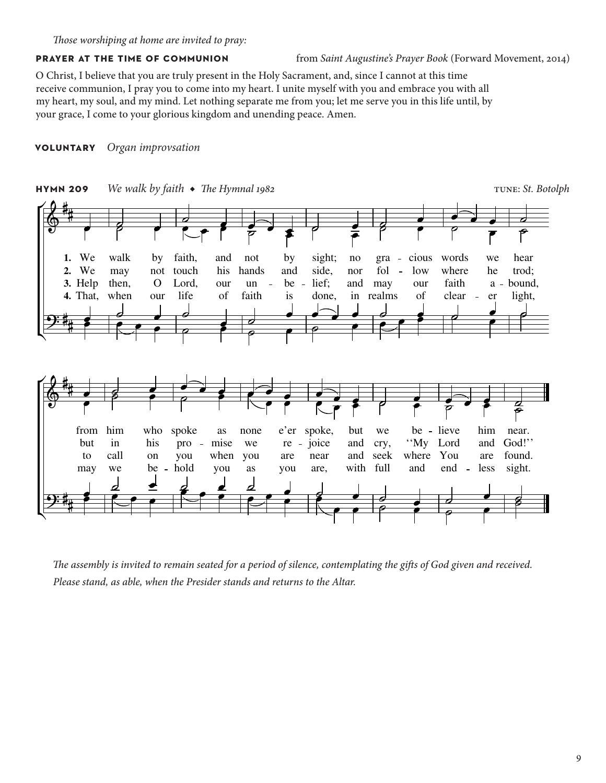O Christ, I believe that you are truly present in the Holy Sacrament, and, since I cannot at this time receive communion, I pray you to come into my heart. I unite myself with you and embrace you with all my heart, my soul, and my mind. Let nothing separate me from you; let me serve you in this life until, by your grace, I come to your glorious kingdom and unending peace. Amen.

### **voluntary** *Organ improvsation*



*The assembly is invited to remain seated for a period of silence, contemplating the gifts of God given and received. Please stand, as able, when the Presider stands and returns to the Altar.*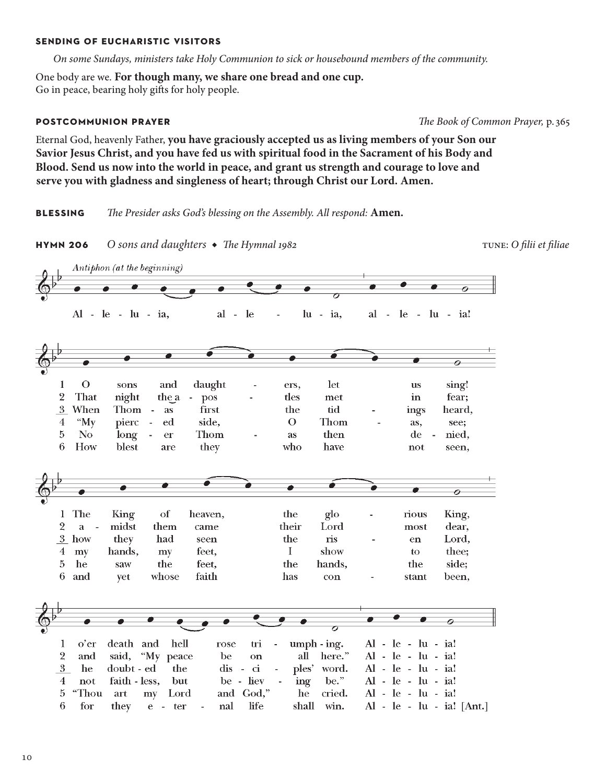### **sending of eucharistic visitors**

*On some Sundays, ministers take Holy Communion to sick or housebound members of the community.* 

One body are we. **For though many, we share one bread and one cup.** Go in peace, bearing holy gifts for holy people.

**postcommunion prayer** *The Book of Common Prayer,* p. 365

Eternal God, heavenly Father, **you have graciously accepted us as living members of your Son our Savior Jesus Christ, and you have fed us with spiritual food in the Sacrament of his Body and Blood. Send us now into the world in peace, and grant us strength and courage to love and serve you with gladness and singleness of heart; through Christ our Lord. Amen.**

**blessing** *The Presider asks God's blessing on the Assembly. All respond:* **Amen.**